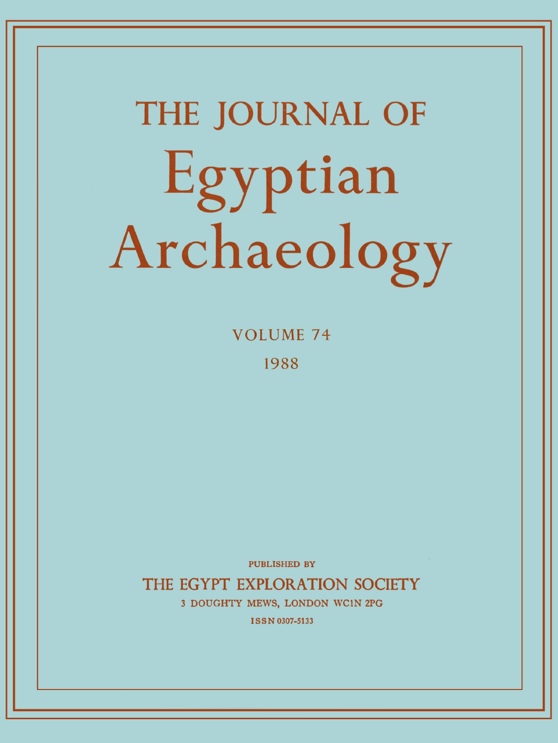# **THE JOURNAL OF**  Egyptian Archaeology

**VOLUME 7 4 198 8** 

PUBLISHED BY

THE EGYPT EXPLORATION SOCIETY 3 DOUGHTY MEWS, LONDON WC1N 2PG

**ISSN 0307-5133**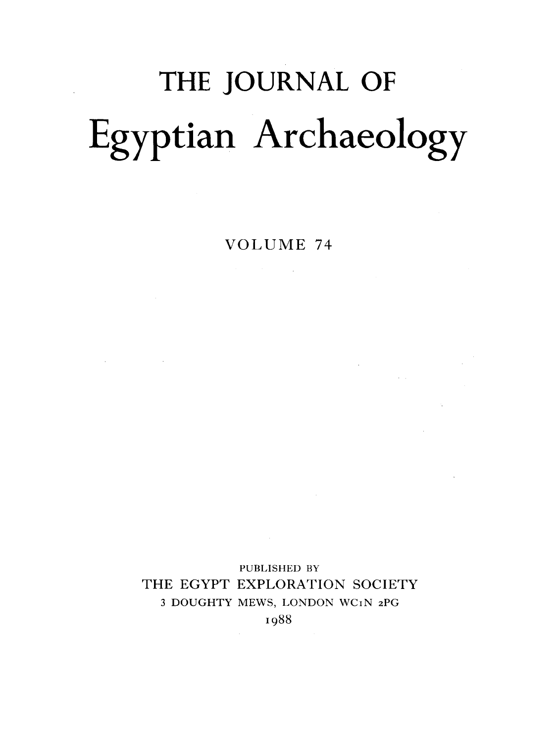## THE JOURNAL OF Egyptian Archaeology

VOLUME 74

 $\label{eq:2.1} \frac{d\mathbf{y}}{dt} = \frac{d\mathbf{y}}{dt} + \frac{d\mathbf{y}}{dt} + \frac{d\mathbf{y}}{dt} + \frac{d\mathbf{y}}{dt} + \frac{d\mathbf{y}}{dt} + \frac{d\mathbf{y}}{dt} + \frac{d\mathbf{y}}{dt} + \frac{d\mathbf{y}}{dt} + \frac{d\mathbf{y}}{dt} + \frac{d\mathbf{y}}{dt} + \frac{d\mathbf{y}}{dt} + \frac{d\mathbf{y}}{dt} + \frac{d\mathbf{y}}{dt} + \frac{d\mathbf{y}}{dt} + \$ 

 $\label{eq:2.1} \frac{1}{\sqrt{2\pi}}\sum_{i=1}^n\frac{1}{\sqrt{2\pi}}\int_{\mathbb{R}^n}\frac{1}{\sqrt{2\pi}}\int_{\mathbb{R}^n}\frac{1}{\sqrt{2\pi}}\int_{\mathbb{R}^n}\frac{1}{\sqrt{2\pi}}\int_{\mathbb{R}^n}\frac{1}{\sqrt{2\pi}}\int_{\mathbb{R}^n}\frac{1}{\sqrt{2\pi}}\int_{\mathbb{R}^n}\frac{1}{\sqrt{2\pi}}\int_{\mathbb{R}^n}\frac{1}{\sqrt{2\pi}}\int_{\mathbb{R}^n}\frac{1}{\$ 

 $\label{eq:2.1} \mathcal{L}(\mathcal{L}^{\mathcal{L}}_{\mathcal{L}}(\mathcal{L}^{\mathcal{L}}_{\mathcal{L}})) = \mathcal{L}(\mathcal{L}^{\mathcal{L}}_{\mathcal{L}}(\mathcal{L}^{\mathcal{L}}_{\mathcal{L}})) = \mathcal{L}(\mathcal{L}^{\mathcal{L}}_{\mathcal{L}}(\mathcal{L}^{\mathcal{L}}_{\mathcal{L}}))$ 

PUBLISHED BY THE EGYPT EXPLORATION SOCIETY 3 DOUGHTY MEWS, LONDON WCIN 2PG 1988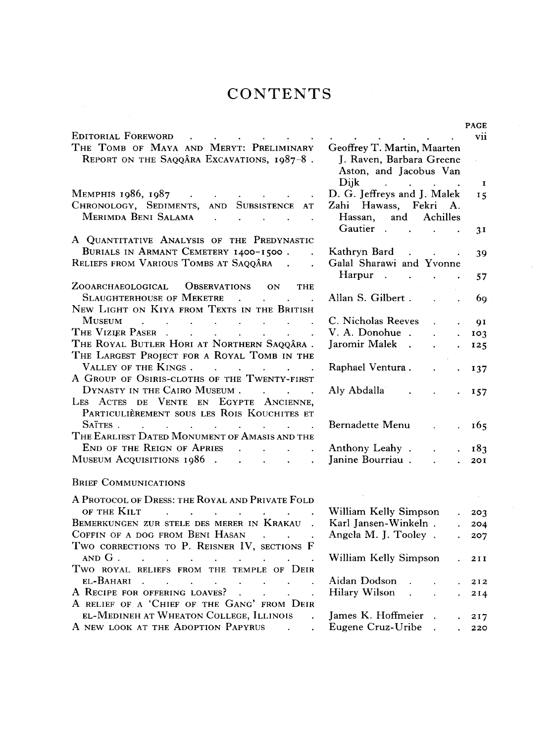### CONTENTS **SECURE SET AND RE**

|                                                                                                                                      |                                                                                   | <b>PAGE</b>    |
|--------------------------------------------------------------------------------------------------------------------------------------|-----------------------------------------------------------------------------------|----------------|
| EDITORIAL FOREWORD                                                                                                                   |                                                                                   | <b>V11</b>     |
| THE TOMB OF MAYA AND MERYT: PRELIMINARY                                                                                              | Geoffrey T. Martin, Maarten                                                       |                |
| REPORT ON THE SAQQÂRA EXCAVATIONS, 1987-8.                                                                                           | J. Raven, Barbara Greene                                                          |                |
|                                                                                                                                      | Aston, and Jacobus Van                                                            |                |
|                                                                                                                                      | Dijk.<br>$\mathbf{r}$ , $\mathbf{r}$ , $\mathbf{r}$ , $\mathbf{r}$ , $\mathbf{r}$ | $\bf{I}$       |
| MEMPHIS 1986, 1987<br>$\mathcal{L}(\mathbf{A})$ and $\mathcal{L}(\mathbf{A})$ are also the contribution of $\mathcal{L}(\mathbf{A})$ | D. G. Jeffreys and J. Malek                                                       | I <sub>5</sub> |
| CHRONOLOGY, SEDIMENTS, AND SUBSISTENCE AT                                                                                            | Zahi Hawass, Fekri A.                                                             |                |
| MERIMDA BENI SALAMA<br><b>Contract Contract</b>                                                                                      | Hassan, and Achilles                                                              |                |
|                                                                                                                                      | Gautier                                                                           | 31             |
| A QUANTITATIVE ANALYSIS OF THE PREDYNASTIC                                                                                           |                                                                                   |                |
| BURIALS IN ARMANT CEMETERY 1400-1500.                                                                                                | Kathryn Bard                                                                      | 39             |
| RELIEFS FROM VARIOUS TOMBS AT SAQQÂRA                                                                                                | Galal Sharawi and Yvonne                                                          |                |
|                                                                                                                                      | Harpur<br>$\sim 100$                                                              | 57             |
| ZOOARCHAEOLOGICAL OBSERVATIONS ON<br><b>THE</b>                                                                                      |                                                                                   |                |
| <b>SLAUGHTERHOUSE OF MEKETRE</b><br>$\mathbf{r}$ , $\mathbf{r}$ , $\mathbf{r}$ , $\mathbf{r}$ , $\mathbf{r}$                         | Allan S. Gilbert.                                                                 | 69             |
| NEW LIGHT ON KIYA FROM TEXTS IN THE BRITISH                                                                                          |                                                                                   |                |
| <b>MUSEUM</b><br>$\mathbf{r}$ , and $\mathbf{r}$ , and $\mathbf{r}$ , and $\mathbf{r}$ , and $\mathbf{r}$                            | C. Nicholas Reeves                                                                | QI             |
| THE VIZIER PASER                                                                                                                     | V. A. Donohue.                                                                    | IO3            |
| THE ROYAL BUTLER HORI AT NORTHERN SAQQÂRA.                                                                                           | Jaromir Malek.                                                                    | 125            |
| THE LARGEST PROJECT FOR A ROYAL TOMB IN THE                                                                                          |                                                                                   |                |
| VALLEY OF THE KINGS.<br>and the state of the state of the state of the                                                               | Raphael Ventura.<br>$\mathbf{r}$<br>$\ddot{\phantom{a}}$                          | 137            |
| A GROUP OF OSIRIS-CLOTHS OF THE TWENTY-FIRST                                                                                         |                                                                                   |                |
| DYNASTY IN THE CAIRO MUSEUM.<br>$\mathbf{r}$ and $\mathbf{r}$ and $\mathbf{r}$                                                       | Aly Abdalla                                                                       | 157            |
| LES ACTES DE VENTE EN EGYPTE ANCIENNE,                                                                                               |                                                                                   |                |
| PARTICULIÈREMENT SOUS LES ROIS KOUCHITES ET                                                                                          |                                                                                   |                |
| SAÏTES.<br>and the contract of the contract of the contract of the contract of the contract of the contract of the contract of       | Bernadette Menu                                                                   | 165            |
| THE EARLIEST DATED MONUMENT OF AMASIS AND THE                                                                                        |                                                                                   |                |
| END OF THE REIGN OF APRIES<br>$\mathbf{r} = \mathbf{r}$ and $\mathbf{r} = \mathbf{r}$                                                | Anthony Leahy.                                                                    | 183            |
| MUSEUM ACQUISITIONS 1986                                                                                                             | Janine Bourriau.                                                                  | 201            |
|                                                                                                                                      |                                                                                   |                |

#### **B**RIEF **C**OMMUNICATIONS

 $\label{eq:2.1} \frac{1}{\sqrt{2\pi}}\frac{d\mu}{d\mu} = \frac{1}{\sqrt{2\pi}}\frac{d\mu}{d\mu}$ 

| OF THE KILT William Kelly Simpson | . 203                                                                                                                                                                                                                                                                                                                                                                                  |
|-----------------------------------|----------------------------------------------------------------------------------------------------------------------------------------------------------------------------------------------------------------------------------------------------------------------------------------------------------------------------------------------------------------------------------------|
|                                   |                                                                                                                                                                                                                                                                                                                                                                                        |
|                                   |                                                                                                                                                                                                                                                                                                                                                                                        |
|                                   |                                                                                                                                                                                                                                                                                                                                                                                        |
|                                   |                                                                                                                                                                                                                                                                                                                                                                                        |
|                                   |                                                                                                                                                                                                                                                                                                                                                                                        |
|                                   |                                                                                                                                                                                                                                                                                                                                                                                        |
|                                   |                                                                                                                                                                                                                                                                                                                                                                                        |
|                                   |                                                                                                                                                                                                                                                                                                                                                                                        |
|                                   |                                                                                                                                                                                                                                                                                                                                                                                        |
|                                   |                                                                                                                                                                                                                                                                                                                                                                                        |
|                                   | BEMERKUNGEN ZUR STELE DES MERER IN KRAKAU . Karl Jansen-Winkeln 204<br>COFFIN OF A DOG FROM BENI HASAN Angela M. J. Tooley 207<br>AND G. William Kelly Simpson . 211<br>EL-BAHARI. Aidan Dodson 212<br>A RECIPE FOR OFFERING LOAVES? Hilary Wilson 214<br>EL-MEDINEH AT WHEATON COLLEGE, ILLINOIS . James K. Hoffmeier 217<br>A NEW LOOK AT THE ADOPTION PAPYRUS Eugene Cruz-Uribe 220 |

| William Kelly Simpson | 203                 |  |
|-----------------------|---------------------|--|
| Karl Jansen-Winkeln.  | . 204               |  |
| Angela M. J. Tooley.  | . 207               |  |
| William Kelly Simpson | $\cdot$ 211         |  |
| Aidan Dodson          | . 212               |  |
| Hilary Wilson         | $\cdot$ $\cdot$ 214 |  |
| James K. Hoffmeier    | 217                 |  |
| Eugene Cruz-Uribe     | . 220               |  |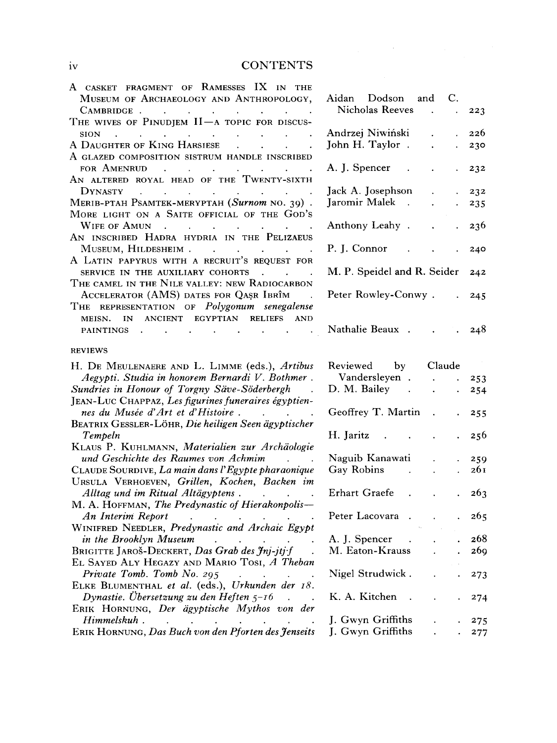#### IV CONTENTS

| A CASKET FRAGMENT OF RAMESSES IX IN THE                                                                                                                                               |                             |                 |
|---------------------------------------------------------------------------------------------------------------------------------------------------------------------------------------|-----------------------------|-----------------|
| MUSEUM OF ARCHAEOLOGY AND ANTHROPOLOGY,                                                                                                                                               | Aidan Dodson<br>and<br>C.   |                 |
| CAMBRIDGE.                                                                                                                                                                            | Nicholas Reeves             | 223             |
| THE WIVES OF PINUDJEM $II$ —A TOPIC FOR DISCUS-                                                                                                                                       |                             |                 |
| <b>SION</b><br>$\mathcal{A}^{\mathcal{A}}$ . The contribution of the contribution of the contribution of $\mathcal{A}^{\mathcal{A}}$                                                  | Andrzej Niwiński            | 226             |
| A DAUGHTER OF KING HARSIESE .<br>$\mathcal{L}^{\mathcal{L}}$ .<br>$\sim$                                                                                                              | John H. Taylor.             | 230             |
| A GLAZED COMPOSITION SISTRUM HANDLE INSCRIBED<br>FOR AMENRUD<br>$\mathcal{L}^{\mathcal{A}}$ . The contribution of the contribution of the contribution of $\mathcal{L}^{\mathcal{A}}$ | A. J. Spencer               | 232             |
| AN ALTERED ROYAL HEAD OF THE TWENTY-SIXTH                                                                                                                                             |                             |                 |
| <b>DYNASTY</b><br>$\mathcal{L}(\mathcal{A})$ is a subset of the set of the set of the set of $\mathcal{A}$                                                                            | Jack A. Josephson           | 232             |
| MERIB-PTAH PSAMTEK-MERYPTAH (Surnom NO. 39).                                                                                                                                          | Jaromir Malek.              | 235             |
| MORE LIGHT ON A SAITE OFFICIAL OF THE GOD'S                                                                                                                                           |                             |                 |
| WIFE OF AMUN.                                                                                                                                                                         | Anthony Leahy.              | 236             |
| AN INSCRIBED HADRA HYDRIA IN THE PELIZAEUS                                                                                                                                            |                             |                 |
| MUSEUM, HILDESHEIM                                                                                                                                                                    | P. J. Connor                | 240             |
| A LATIN PAPYRUS WITH A RECRUIT'S REQUEST FOR                                                                                                                                          |                             |                 |
| SERVICE IN THE AUXILIARY COHORTS                                                                                                                                                      | M. P. Speidel and R. Seider | 242             |
| THE CAMEL IN THE NILE VALLEY: NEW RADIOCARBON                                                                                                                                         |                             |                 |
| ACCELERATOR (AMS) DATES FOR QASR IBRÎM                                                                                                                                                | Peter Rowley-Conwy.         | 245             |
| THE REPRESENTATION OF Polygonum senegalense                                                                                                                                           |                             |                 |
| MEISN. IN ANCIENT EGYPTIAN RELIEFS AND                                                                                                                                                |                             |                 |
| PAINTINGS .                                                                                                                                                                           | Nathalie Beaux.             | 248             |
|                                                                                                                                                                                       |                             |                 |
| <b>REVIEWS</b>                                                                                                                                                                        |                             |                 |
| H. DE MEULENAERE AND L. LIMME (eds.), Artibus                                                                                                                                         | Reviewed by Claude          |                 |
| Aegypti. Studia in honorem Bernardi V. Bothmer.                                                                                                                                       | Vandersleyen                | 253             |
| Sundries in Honour of Torgny Säve-Söderbergh                                                                                                                                          | D. M. Bailey                | 254             |
| JEAN-LUC CHAPPAZ, Les figurines funeraires égyptien-                                                                                                                                  |                             |                 |
| nes du Musée d'Art et d'Histoire.                                                                                                                                                     | Geoffrey T. Martin.         | 255             |
| BEATRIX GESSLER-LÖHR, Die heiligen Seen ägyptischer                                                                                                                                   |                             |                 |
| Tempeln                                                                                                                                                                               | H. Jaritz                   | 256             |
| KLAUS P. KUHLMANN, Materialien zur Archäologie                                                                                                                                        |                             |                 |
| und Geschichte des Raumes von Achmim                                                                                                                                                  | Naguib Kanawati             | 259             |
| CLAUDE SOURDIVE, La main dans l'Egypte pharaonique                                                                                                                                    | Gay Robins<br>$\mathbf{r}$  | 261             |
| URSULA VERHOEVEN, Grillen, Kochen, Backen im                                                                                                                                          |                             |                 |
| Alltag und im Ritual Altägyptens.                                                                                                                                                     | Erhart Graefe<br>$\sim$     | 263             |
| M. A. HOFFMAN, The Predynastic of Hierakonpolis-                                                                                                                                      |                             |                 |
| An Interim Report (a) contract the contract of the contract of the contract of the contract of the contract of                                                                        | Peter Lacovara.             | 265             |
| WINIFRED NEEDLER, Predynastic and Archaic Egypt                                                                                                                                       |                             |                 |
| in the Brooklyn Museum                                                                                                                                                                | A. J. Spencer               | 268             |
| BRIGITTE JAROŠ-DECKERT, Das Grab des Jnj-jtj·f                                                                                                                                        | M. Eaton-Krauss             | 26 <sub>9</sub> |
| EL SAYED ALY HEGAZY AND MARIO TOSI, A Theban                                                                                                                                          |                             |                 |
|                                                                                                                                                                                       | Nigel Strudwick.            |                 |
| Private Tomb. Tomb No. 295<br>$\mathbf{a}$ . The $\mathbf{a}$                                                                                                                         |                             | 273             |
| ELKE BLUMENTHAL et al. (eds.), Urkunden der 18.<br>Dynastie. Übersetzung zu den Heften $5$ -16                                                                                        | K. A. Kitchen               |                 |
| ERIK HORNUNG, Der ägyptische Mythos von der                                                                                                                                           |                             | 274             |
| Himmelskuh.                                                                                                                                                                           | J. Gwyn Griffiths           | 275             |
|                                                                                                                                                                                       |                             |                 |

**E**RIK **H**ORNUNG, *Das Buch von den Pforten des Jenseits* **J. Gwy n Griffiths . . 27 7** 

| Aidan Dodson and            |                               |             |
|-----------------------------|-------------------------------|-------------|
| <b>Nicholas Reeves</b>      |                               | 223         |
| Andrzej Niwiński            |                               | . 226       |
| ohn H. Taylor.              |                               | 230         |
| A. J. Spencer               |                               | . 232       |
| ack A. Josephson            | $\ddot{\phantom{0}}$          | $\cdot$ 232 |
| aromir Malek.               |                               | 235         |
| Anthony Leahy.              |                               | $. \t236$   |
| <sup>2</sup> . J. Connor    |                               | 240         |
| M. P. Speidel and R. Seider |                               | 242         |
| Peter Rowley-Conwy.         |                               | $. \t245$   |
| Nathalie Beaux              | $\cdot$ $\cdot$ $\cdot$ $248$ |             |

| Reviewed           | $_{\rm by}$ | Claude    |       |
|--------------------|-------------|-----------|-------|
| . Vandersleyen     |             |           | 253   |
| D. M. Bailey       |             |           | 254   |
| Geoffrey T. Martin |             |           | 255   |
| H. Jaritz          |             |           | 256   |
| Naguib Kanawati    |             |           | 259   |
| <b>Gay Robins</b>  |             |           | 261   |
| Erhart Graefe      |             |           | 263   |
| Peter Lacovara ).  |             |           | 265   |
| A. J. Spencer      |             |           | 268   |
| M. Eaton-Krauss    |             |           | 269   |
| Nigel Strudwick.   |             |           | 273   |
| K. A. Kitchen      |             |           | 274   |
| J. Gwyn Griffiths  |             |           | . 275 |
| J. Gwyn Griffiths  |             | $\bullet$ | . 277 |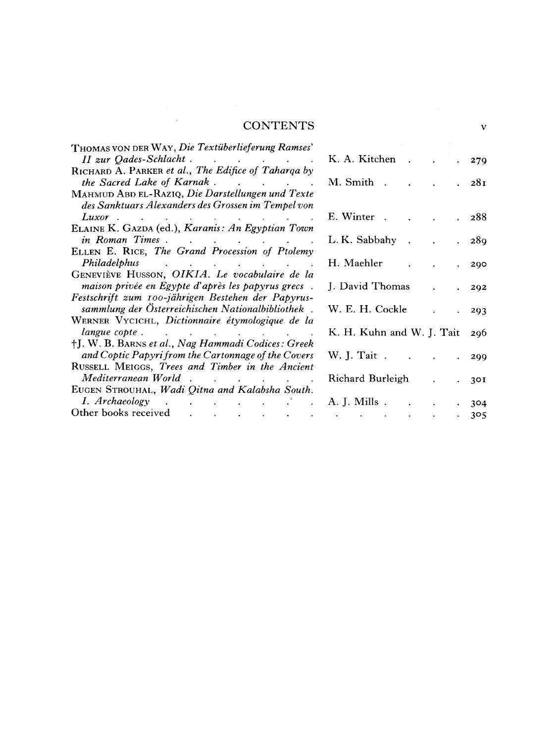#### **CONTENTS v**

 $\label{eq:2.1} \mathcal{L}_{\mathcal{A}}(\mathcal{A}) = \mathcal{L}_{\mathcal{A}}(\mathcal{A}) = \mathcal{L}_{\mathcal{A}}(\mathcal{A})$ 

| THOMAS VON DER WAY, Die Textüberlieferung Ramses'                                                                                       |                           |       |
|-----------------------------------------------------------------------------------------------------------------------------------------|---------------------------|-------|
|                                                                                                                                         | K. A. Kitchen.            | 279   |
| RICHARD A. PARKER et al., The Edifice of Taharga by                                                                                     | M. Smith.                 |       |
|                                                                                                                                         |                           | 28I   |
| MAHMUD ABD EL-RAZIQ, Die Darstellungen und Texte<br>des Sanktuars Alexanders des Grossen im Tempel von                                  |                           |       |
| $Luxor$ $\qquad \qquad$ $\qquad \qquad$ $\qquad \qquad$ $\qquad \qquad$ $\qquad \qquad$ $\qquad \qquad$ $\qquad \qquad$ $\qquad \qquad$ | E. Winter.                | . 288 |
| ELAINE K. GAZDA (ed.), Karanis: An Egyptian Town                                                                                        |                           |       |
| in Roman Times                                                                                                                          | L.K. Sabbahy.             | - 289 |
| ELLEN E. RICE, The Grand Procession of Ptolemy                                                                                          |                           |       |
| Philadelphus and the contract of the contract of the contract of the contract of the contract of the contract o                         | H. Maehler                | 290   |
| GENEVIÈVE HUSSON, OIKIA. Le vocabulaire de la                                                                                           |                           |       |
| maison privée en Egypte d'après les papyrus grecs.                                                                                      | J. David Thomas           | 292   |
| Festschrift zum 100-jährigen Bestehen der Papyrus-                                                                                      |                           |       |
| sammlung der Österreichischen Nationalbibliothek.                                                                                       | W. E. H. Cockle           | 293   |
| WERNER VYCICHL, Dictionnaire étymologique de la                                                                                         |                           |       |
| langue copte                                                                                                                            | K. H. Kuhn and W. J. Tait | 296   |
| †J. W. B. BARNS et al., Nag Hammadi Codices: Greek                                                                                      |                           |       |
| and Coptic Papyri from the Cartonnage of the Covers                                                                                     | W. J. Tait.               | 299   |
| RUSSELL MEIGGS, Trees and Timber in the Ancient                                                                                         |                           |       |
| Mediterranean World                                                                                                                     | Richard Burleigh          | 30I   |
| EUGEN STROUHAL, Wadi Qitna and Kalabsha South.                                                                                          |                           |       |
|                                                                                                                                         | A. J. Mills.              | 304   |
|                                                                                                                                         |                           | 305   |
|                                                                                                                                         |                           |       |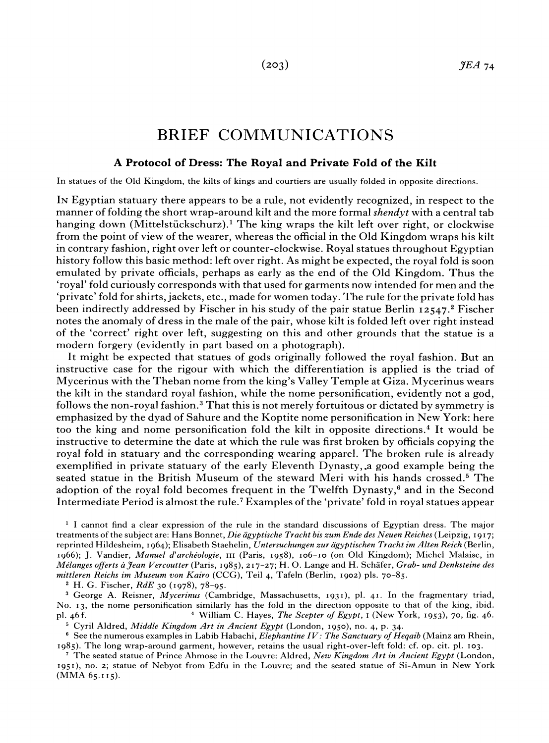#### BRIEF COMMUNICATIONS

#### **A Protocol of Dress: The Royal and Private Fold of the Kilt**

In statues of the Old Kingdom, the kilts of kings and courtiers are usually folded in opposite directions.

IN Egyptian statuary there appears to be a rule, not evidently recognized, in respect to the manner of folding the short wrap-around kilt and the more formal *shendyt* with a central tab hanging down (Mittelstückschurz).<sup>1</sup> The king wraps the kilt left over right, or clockwise from the point of view of the wearer, whereas the official in the Old Kingdom wraps his kilt in contrary fashion, right over left or counter-clockwise. Royal statues throughout Egyptian history follow this basic method: left over right. As might be expected, the royal fold is soon emulated by private officials, perhaps as early as the end of the Old Kingdom. Thus the 'royal' fold curiously corresponds with that used for garments now intended for men and the 'private' fold for shirts, jackets, etc., made for women today. The rule for the private fold has been indirectly addressed by Fischer in his study of the pair statue Berlin 12547.<sup>2</sup> Fischer notes the anomaly of dress in the male of the pair, whose kilt is folded left over right instead of the 'correct' right over left, suggesting on this and other grounds that the statue is a modern forgery (evidently in part based on a photograph).

It might be expected that statues of gods originally followed the royal fashion. But an instructive case for the rigour with which the differentiation is applied is the triad of Mycerinus with the Theban nome from the king's Valley Temple at Giza. Mycerinus wears the kilt in the standard royal fashion, while the nome personification, evidently not a god, follows the non-royal fashion. $3$  That this is not merely fortuitous or dictated by symmetry is emphasized by the dyad of Sahure and the Koptite nome personification in New York: here too the king and nome personification fold the kilt in opposite directions.<sup>4</sup> It would be instructive to determine the date at which the rule was first broken by officials copying the royal fold in statuary and the corresponding wearing apparel. The broken rule is already exemplified in private statuary of the early Eleventh Dynasty, .a good example being the seated statue in the British Museum of the steward Meri with his hands crossed. $5$  The adoption of the royal fold becomes frequent in the Twelfth Dynasty, $6$  and in the Second Intermediate Period is almost the rule.7 Examples of the 'private' fold in royal statues appear

' I cannot find a clear expression of the rule in the standard discussions of Egyptian dress. The major treatments of the subject are: Hans Bonnet, *Die ägyptische Tracht bis zum Ende des Neuen Reiches* (Leipzig, 1917; reprinted Hildesheim, I 964); Elisabeth Staehelin, *Untersuchungen zur agyptischen Tracht im Alten Reich* (Berlin, 1966); *J.* Vandier, *iZlanuel d'archiologie,* **111** (Paris, 1958), 106-10 (on Old Kingdom); Michel Malaise, in *,Wilanges offerts aJean Vercoutter* (Paris, 1985), 217-27; H. 0.Lange and H. Schafer, *Grab- und Denksteine des mittleren Reichs im Museum con Kairo* (CCG), Teil 4, Tafeln (Berlin, 1902) pls. 70-85.

H. G. Fischer, *RdE* 30 (1978), 78-95.

<sup>3</sup> George A. Reisner, *Mycerinus* (Cambridge, Massachusetts, 1931), pl. 41. In the fragmentary triad, No. 13, the nome personification similarly has the fold in the direction opposite to that of the king, ibid. pl. 46 f. William C. Hayes, *The Scepter of Egypt,* I (New York, 1953)~ 70, fig. 46.

<sup>5</sup> Cyril Aldred, *Middle Kingdom Art in Ancient Egypt* (London, 1950), no. 4, p. 34.

See the numerous examples in Labib Habachi, *Elephantine* IV: *The Sanctuary of Heqaib* (Mainz am Rhein, 1985). The long wrap-around garment, however, retains the usual right-over-left fold: cf. op. cit. pl. 103.

' The seated statue of Prince Ahmose in the Louvre: Aldred, *New Kingdom Art in Ancient Egypt* (London, 1951), no. 2; statue of Nebyot from Edfu in the Louvre; and the seated statue of Si-Amun in New York (MMA 65.115).